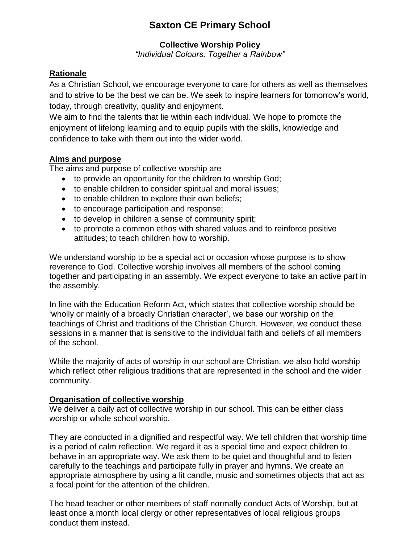# **Saxton CE Primary School**

## **Collective Worship Policy**

*"Individual Colours, Together a Rainbow"*

## **Rationale**

As a Christian School, we encourage everyone to care for others as well as themselves and to strive to be the best we can be. We seek to inspire learners for tomorrow's world, today, through creativity, quality and enjoyment.

We aim to find the talents that lie within each individual. We hope to promote the enjoyment of lifelong learning and to equip pupils with the skills, knowledge and confidence to take with them out into the wider world.

## **Aims and purpose**

The aims and purpose of collective worship are

- to provide an opportunity for the children to worship God;
- to enable children to consider spiritual and moral issues;
- to enable children to explore their own beliefs;
- to encourage participation and response;
- to develop in children a sense of community spirit;
- to promote a common ethos with shared values and to reinforce positive attitudes; to teach children how to worship.

We understand worship to be a special act or occasion whose purpose is to show reverence to God. Collective worship involves all members of the school coming together and participating in an assembly. We expect everyone to take an active part in the assembly.

In line with the Education Reform Act, which states that collective worship should be 'wholly or mainly of a broadly Christian character', we base our worship on the teachings of Christ and traditions of the Christian Church. However, we conduct these sessions in a manner that is sensitive to the individual faith and beliefs of all members of the school.

While the majority of acts of worship in our school are Christian, we also hold worship which reflect other religious traditions that are represented in the school and the wider community.

## **Organisation of collective worship**

We deliver a daily act of collective worship in our school. This can be either class worship or whole school worship.

They are conducted in a dignified and respectful way. We tell children that worship time is a period of calm reflection. We regard it as a special time and expect children to behave in an appropriate way. We ask them to be quiet and thoughtful and to listen carefully to the teachings and participate fully in prayer and hymns. We create an appropriate atmosphere by using a lit candle, music and sometimes objects that act as a focal point for the attention of the children.

The head teacher or other members of staff normally conduct Acts of Worship, but at least once a month local clergy or other representatives of local religious groups conduct them instead.